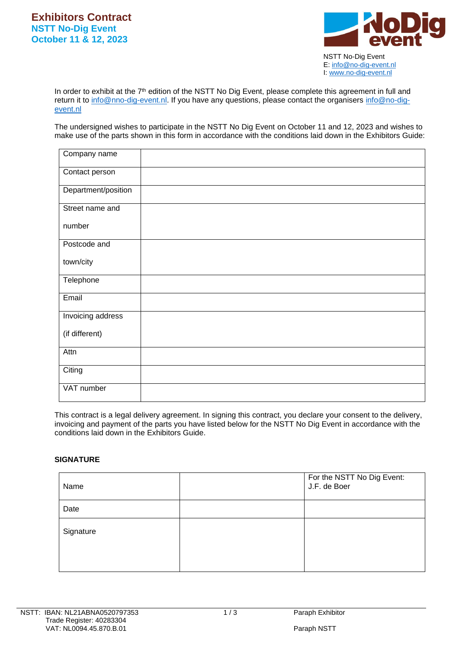

 E[: info@no-dig-event.nl](mailto:info@no-dig-event.nl) I: [www.no-dig-event.nl](http://www.no-dig-event.nl/)

In order to exhibit at the 7<sup>th</sup> edition of the NSTT No Dig Event, please complete this agreement in full and return it to [info@nno-dig-event.nl.](mailto:info@nno-dig-event.nl) If you have any questions, please contact the organisers [info@no-dig](mailto:info@no-dig-event.nl)[event.nl](mailto:info@no-dig-event.nl)

The undersigned wishes to participate in the NSTT No Dig Event on October 11 and 12, 2023 and wishes to make use of the parts shown in this form in accordance with the conditions laid down in the Exhibitors Guide:

| Company name        |  |
|---------------------|--|
| Contact person      |  |
| Department/position |  |
| Street name and     |  |
| number              |  |
| Postcode and        |  |
| town/city           |  |
| Telephone           |  |
| Email               |  |
| Invoicing address   |  |
| (if different)      |  |
| Attn                |  |
| Citing              |  |
| VAT number          |  |

This contract is a legal delivery agreement. In signing this contract, you declare your consent to the delivery, invoicing and payment of the parts you have listed below for the NSTT No Dig Event in accordance with the conditions laid down in the Exhibitors Guide.

## **SIGNATURE**

| Name      | For the NSTT No Dig Event:<br>J.F. de Boer |
|-----------|--------------------------------------------|
| Date      |                                            |
| Signature |                                            |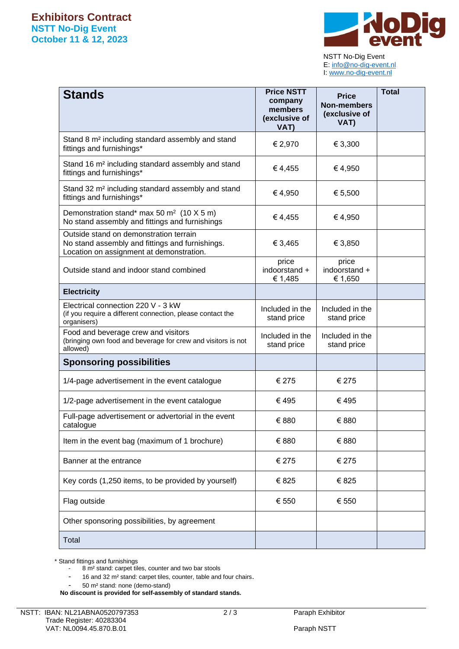

 NSTT No-Dig Event E[: info@no-dig-event.nl](mailto:info@no-dig-event.nl) I: [www.no-dig-event.nl](http://www.no-dig-event.nl/)

| <b>Stands</b>                                                                                                                         | <b>Price NSTT</b><br>company<br>members<br>(exclusive of<br>VAT) | <b>Price</b><br><b>Non-members</b><br>(exclusive of<br>VAT) | <b>Total</b> |
|---------------------------------------------------------------------------------------------------------------------------------------|------------------------------------------------------------------|-------------------------------------------------------------|--------------|
| Stand 8 m <sup>2</sup> including standard assembly and stand<br>fittings and furnishings*                                             | € 2,970                                                          | € 3,300                                                     |              |
| Stand 16 m <sup>2</sup> including standard assembly and stand<br>fittings and furnishings*                                            | €4,455                                                           | €4,950                                                      |              |
| Stand 32 m <sup>2</sup> including standard assembly and stand<br>fittings and furnishings*                                            | €4,950                                                           | € 5,500                                                     |              |
| Demonstration stand* max 50 m <sup>2</sup> (10 X 5 m)<br>No stand assembly and fittings and furnishings                               | €4,455                                                           | €4,950                                                      |              |
| Outside stand on demonstration terrain<br>No stand assembly and fittings and furnishings.<br>Location on assignment at demonstration. | € 3,465                                                          | € 3,850                                                     |              |
| Outside stand and indoor stand combined                                                                                               | price<br>indoorstand +<br>€ 1,485                                | price<br>indoorstand +<br>€ 1,650                           |              |
| <b>Electricity</b>                                                                                                                    |                                                                  |                                                             |              |
| Electrical connection 220 V - 3 kW<br>(if you require a different connection, please contact the<br>organisers)                       | Included in the<br>stand price                                   | Included in the<br>stand price                              |              |
| Food and beverage crew and visitors<br>(bringing own food and beverage for crew and visitors is not<br>allowed)                       | Included in the<br>stand price                                   | Included in the<br>stand price                              |              |
| <b>Sponsoring possibilities</b>                                                                                                       |                                                                  |                                                             |              |
| 1/4-page advertisement in the event catalogue                                                                                         | € 275                                                            | € 275                                                       |              |
| 1/2-page advertisement in the event catalogue                                                                                         | €495                                                             | €495                                                        |              |
| Full-page advertisement or advertorial in the event<br>catalogue                                                                      | € 880                                                            | € 880                                                       |              |
| Item in the event bag (maximum of 1 brochure)                                                                                         | € 880                                                            | € 880                                                       |              |
| Banner at the entrance                                                                                                                | € 275                                                            | € 275                                                       |              |
| Key cords (1,250 items, to be provided by yourself)                                                                                   | € 825                                                            | € 825                                                       |              |
| Flag outside                                                                                                                          | € 550                                                            | € 550                                                       |              |
| Other sponsoring possibilities, by agreement                                                                                          |                                                                  |                                                             |              |
| Total                                                                                                                                 |                                                                  |                                                             |              |

\* Stand fittings and furnishings

- 8 m² stand: carpet tiles, counter and two bar stools
- 16 and 32 m² stand: carpet tiles, counter, table and four chairs.
- 50 m² stand: none (demo-stand)

**No discount is provided for self-assembly of standard stands.**